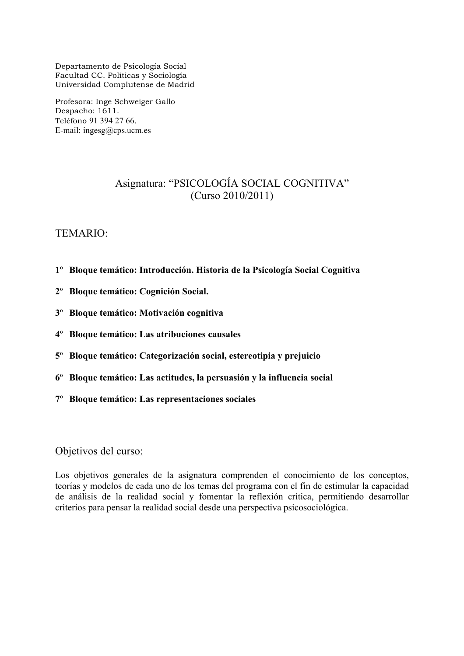Departamento de Psicología Social Facultad CC. Políticas y Sociología Universidad Complutense de Madrid

Profesora: Inge Schweiger Gallo Despacho: 1611. Teléfono 91 394 27 66. E-mail: ingesg $@$ cps.ucm.es

## Asignatura: "PSICOLOGÍA SOCIAL COGNITIVA" (Curso 2010/2011)

### TEMARIO:

- **1º Bloque temático: Introducción. Historia de la Psicología Social Cognitiva**
- **2º Bloque temático: Cognición Social.**
- **3º Bloque temático: Motivación cognitiva**
- **4º Bloque temático: Las atribuciones causales**
- **5º Bloque temático: Categorización social, estereotipia y prejuicio**
- **6º Bloque temático: Las actitudes, la persuasión y la influencia social**
- **7º Bloque temático: Las representaciones sociales**

#### Objetivos del curso:

Los objetivos generales de la asignatura comprenden el conocimiento de los conceptos, teorías y modelos de cada uno de los temas del programa con el fin de estimular la capacidad de análisis de la realidad social y fomentar la reflexión crítica, permitiendo desarrollar criterios para pensar la realidad social desde una perspectiva psicosociológica.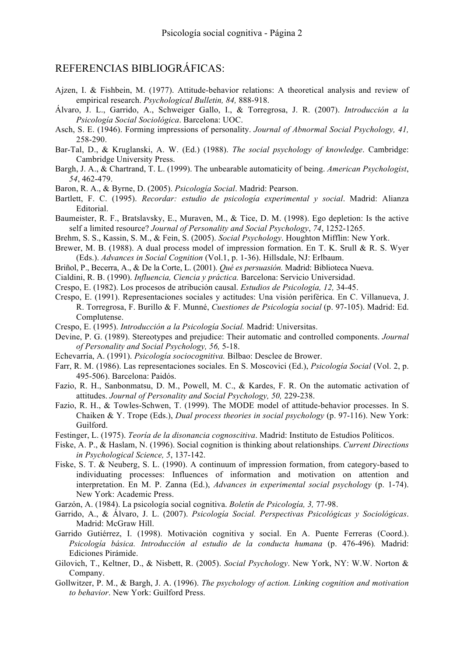## REFERENCIAS BIBLIOGRÁFICAS:

- Ajzen, I. & Fishbein, M. (1977). Attitude-behavior relations: A theoretical analysis and review of empirical research. *Psychological Bulletin, 84,* 888-918.
- Álvaro, J. L., Garrido, A., Schweiger Gallo, I., & Torregrosa, J. R. (2007). *Introducción a la Psicología Social Sociológica*. Barcelona: UOC.
- Asch, S. E. (1946). Forming impressions of personality. *Journal of Abnormal Social Psychology, 41,*  258-290.
- Bar-Tal, D., & Kruglanski, A. W. (Ed.) (1988). *The social psychology of knowledge*. Cambridge: Cambridge University Press.
- Bargh, J. A., & Chartrand, T. L. (1999). The unbearable automaticity of being. *American Psychologist*, *54*, 462-479.
- Baron, R. A., & Byrne, D. (2005). *Psicología Social*. Madrid: Pearson.
- Bartlett, F. C. (1995). *Recordar: estudio de psicología experimental y social*. Madrid: Alianza Editorial.
- Baumeister, R. F., Bratslavsky, E., Muraven, M., & Tice, D. M. (1998). Ego depletion: Is the active self a limited resource? *Journal of Personality and Social Psychology*, *74*, 1252-1265.
- Brehm, S. S., Kassin, S. M., & Fein, S. (2005). *Social Psychology*. Houghton Mifflin: New York.
- Brewer, M. B. (1988). A dual process model of impression formation. En T. K. Srull & R. S. Wyer (Eds.). *Advances in Social Cognition* (Vol.1, p. 1-36). Hillsdale, NJ: Erlbaum.
- Briñol, P., Becerra, A., & De la Corte, L. (2001). *Qué es persuasión.* Madrid: Biblioteca Nueva.
- Cialdini, R. B. (1990). *Influencia, Ciencia y práctica.* Barcelona: Servicio Universidad.
- Crespo, E. (1982). Los procesos de atribución causal. *Estudios de Psicología, 12,* 34-45.
- Crespo, E. (1991). Representaciones sociales y actitudes: Una visión periférica. En C. Villanueva, J. R. Torregrosa, F. Burillo & F. Munné, *Cuestiones de Psicología social* (p. 97-105). Madrid: Ed. Complutense.
- Crespo, E. (1995). *Introducción a la Psicología Social.* Madrid: Universitas.
- Devine, P. G. (1989). Stereotypes and prejudice: Their automatic and controlled components. *Journal of Personality and Social Psychology, 56,* 5-18.
- Echevarría, A. (1991). *Psicología sociocognitiva.* Bilbao: Desclee de Brower.
- Farr, R. M. (1986). Las representaciones sociales. En S. Moscovici (Ed.), *Psicología Social* (Vol. 2, p. 495-506). Barcelona: Paidós.
- Fazio, R. H., Sanbonmatsu, D. M., Powell, M. C., & Kardes, F. R. On the automatic activation of attitudes. *Journal of Personality and Social Psychology, 50,* 229-238.
- Fazio, R. H., & Towles-Schwen, T. (1999). The MODE model of attitude-behavior processes. In S. Chaiken & Y. Trope (Eds.), *Dual process theories in social psychology* (p. 97-116). New York: Guilford.
- Festinger, L. (1975). *Teoría de la disonancia cognoscitiva*. Madrid: Instituto de Estudios Políticos.
- Fiske, A. P., & Haslam, N. (1996). Social cognition is thinking about relationships. *Current Directions in Psychological Science, 5*, 137-142.
- Fiske, S. T. & Neuberg, S. L. (1990). A continuum of impression formation, from category-based to individuating processes: Influences of information and motivation on attention and interpretation. En M. P. Zanna (Ed.), *Advances in experimental social psychology* (p. 1-74). New York: Academic Press.
- Garzón, A. (1984). La psicología social cognitiva. *Boletín de Psicología, 3,* 77-98.
- Garrido, A., & Álvaro, J. L. (2007). *Psicología Social. Perspectivas Psicológicas y Sociológicas*. Madrid: McGraw Hill.
- Garrido Gutiérrez, I. (1998). Motivación cognitiva y social. En A. Puente Ferreras (Coord.). *Psicología básica. Introducción al estudio de la conducta humana* (p. 476-496)*.* Madrid: Ediciones Pirámide.
- Gilovich, T., Keltner, D., & Nisbett, R. (2005). *Social Psychology*. New York, NY: W.W. Norton & Company.
- Gollwitzer, P. M., & Bargh, J. A. (1996). *The psychology of action. Linking cognition and motivation to behavior*. New York: Guilford Press.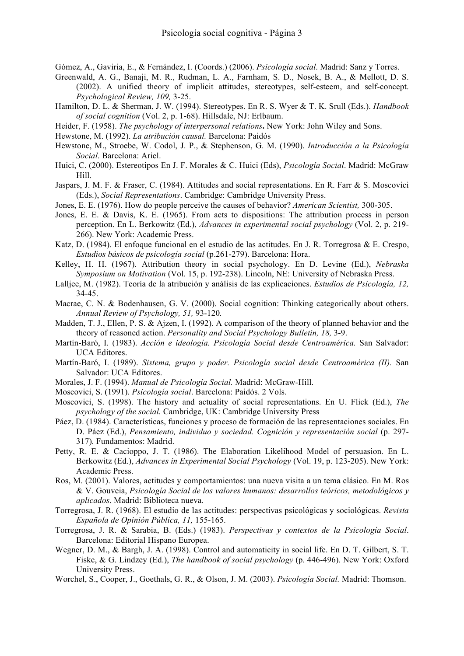Gómez, A., Gaviria, E., & Fernández, I. (Coords.) (2006). *Psicología social*. Madrid: Sanz y Torres.

- Greenwald, A. G., Banaji, M. R., Rudman, L. A., Farnham, S. D., Nosek, B. A., & Mellott, D. S. (2002). A unified theory of implicit attitudes, stereotypes, self-esteem, and self-concept. *Psychological Review, 109,* 3-25.
- Hamilton, D. L. & Sherman, J. W. (1994). Stereotypes. En R. S. Wyer & T. K. Srull (Eds.). *Handbook of social cognition* (Vol. 2, p. 1-68). Hillsdale, NJ: Erlbaum.
- Heider, F. (1958). *The psychology of interpersonal relations***.** New York: John Wiley and Sons.
- Hewstone, M. (1992). *La atribución causal.* Barcelona: Paidós
- Hewstone, M., Stroebe, W. Codol, J. P., & Stephenson, G. M. (1990). *Introducción a la Psicología Social*. Barcelona: Ariel.
- Huici, C. (2000). Estereotipos En J. F. Morales & C. Huici (Eds), *Psicología Social*. Madrid: McGraw Hill.
- Jaspars, J. M. F. & Fraser, C. (1984). Attitudes and social representations. En R. Farr & S. Moscovici (Eds.), *Social Representations*. Cambridge: Cambridge University Press.
- Jones, E. E. (1976). How do people perceive the causes of behavior? *American Scientist,* 300-305.
- Jones, E. E. & Davis, K. E. (1965). From acts to dispositions: The attribution process in person perception. En L. Berkowitz (Ed.), *Advances in experimental social psychology* (Vol. 2, p. 219- 266). New York: Academic Press.
- Katz, D. (1984). El enfoque funcional en el estudio de las actitudes. En J. R. Torregrosa & E. Crespo, *Estudios básicos de psicología social* (p.261-279). Barcelona: Hora.
- Kelley, H. H. (1967). Attribution theory in social psychology. En D. Levine (Ed.), *Nebraska Symposium on Motivation* (Vol. 15, p. 192-238). Lincoln, NE: University of Nebraska Press.
- Lalljee, M. (1982). Teoría de la atribución y análisis de las explicaciones. *Estudios de Psicología, 12,*  34-45.
- Macrae, C. N. & Bodenhausen, G. V. (2000). Social cognition: Thinking categorically about others. *Annual Review of Psychology, 51,* 93-120*.*
- Madden, T. J., Ellen, P. S. & Ajzen, I. (1992). A comparison of the theory of planned behavior and the theory of reasoned action. *Personality and Social Psychology Bulletin, 18,* 3-9.
- Martín-Baró, I. (1983). *Acción e ideología. Psicología Social desde Centroamérica.* San Salvador: UCA Editores.
- Martín-Baró, I. (1989). *Sistema, grupo y poder. Psicología social desde Centroamérica (II).* San Salvador: UCA Editores.
- Morales, J. F. (1994). *Manual de Psicología Social.* Madrid: McGraw-Hill.
- Moscovici, S. (1991). *Psicología social*. Barcelona: Paidós. 2 Vols.
- Moscovici, S. (1998). The history and actuality of social representations. En U. Flick (Ed.), *The psychology of the social.* Cambridge, UK: Cambridge University Press
- Páez, D. (1984). Características, funciones y proceso de formación de las representaciones sociales. En D. Páez (Ed.), *Pensamiento, individuo y sociedad. Cognición y representación social* (p. 297- 317)*.* Fundamentos: Madrid.
- Petty, R. E. & Cacioppo, J. T. (1986). The Elaboration Likelihood Model of persuasion. En L. Berkowitz (Ed.), *Advances in Experimental Social Psychology* (Vol. 19, p. 123-205). New York: Academic Press.
- Ros, M. (2001). Valores, actitudes y comportamientos: una nueva visita a un tema clásico. En M. Ros & V. Gouveia, *Psicología Social de los valores humanos: desarrollos teóricos, metodológicos y aplicados*. Madrid: Biblioteca nueva.
- Torregrosa, J. R. (1968). El estudio de las actitudes: perspectivas psicológicas y sociológicas. *Revista Española de Opinión Pública, 11,* 155-165.
- Torregrosa, J. R. & Sarabia, B. (Eds.) (1983). *Perspectivas y contextos de la Psicología Social*. Barcelona: Editorial Hispano Europea.
- Wegner, D. M., & Bargh, J. A. (1998). Control and automaticity in social life. En D. T. Gilbert, S. T. Fiske, & G. Lindzey (Ed.), *The handbook of social psychology* (p. 446-496). New York: Oxford University Press.
- Worchel, S., Cooper, J., Goethals, G. R., & Olson, J. M. (2003). *Psicología Social.* Madrid: Thomson.